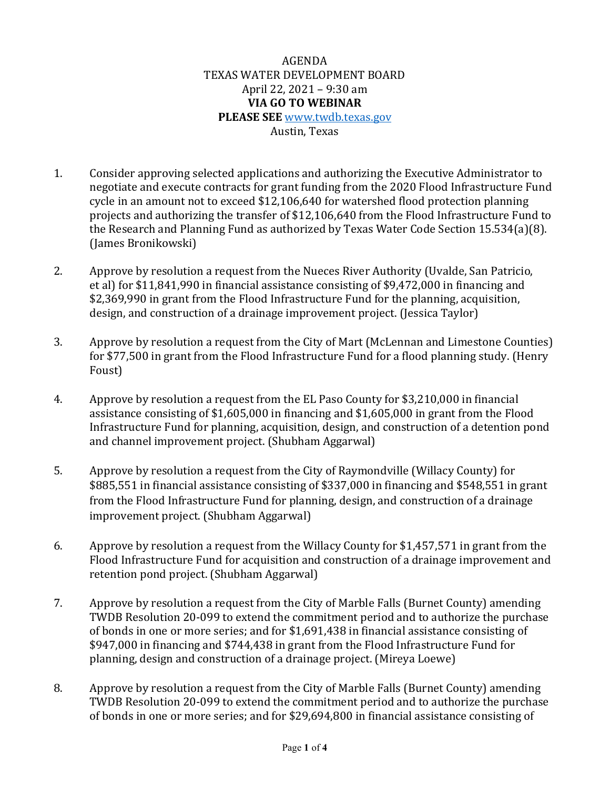AGENDA TEXAS WATER DEVELOPMENT BOARD April 22, 2021 – 9:30 am **VIA GO TO WEBINAR PLEASE SEE** [www.twdb.texas.gov](http://www.twdb.texas.gov/) Austin, Texas

- 1. Consider approving selected applications and authorizing the Executive Administrator to negotiate and execute contracts for grant funding from the 2020 Flood Infrastructure Fund cycle in an amount not to exceed \$12,106,640 for watershed flood protection planning projects and authorizing the transfer of \$12,106,640 from the Flood Infrastructure Fund to the Research and Planning Fund as authorized by Texas Water Code Section 15.534(a)(8). (James Bronikowski)
- 2. Approve by resolution a request from the Nueces River Authority (Uvalde, San Patricio, et al) for \$11,841,990 in financial assistance consisting of \$9,472,000 in financing and \$2,369,990 in grant from the Flood Infrastructure Fund for the planning, acquisition, design, and construction of a drainage improvement project. (Jessica Taylor)
- 3. Approve by resolution a request from the City of Mart (McLennan and Limestone Counties) for \$77,500 in grant from the Flood Infrastructure Fund for a flood planning study. (Henry Foust)
- 4. Approve by resolution a request from the EL Paso County for \$3,210,000 in financial assistance consisting of \$1,605,000 in financing and \$1,605,000 in grant from the Flood Infrastructure Fund for planning, acquisition, design, and construction of a detention pond and channel improvement project. (Shubham Aggarwal)
- 5. Approve by resolution a request from the City of Raymondville (Willacy County) for \$885,551 in financial assistance consisting of \$337,000 in financing and \$548,551 in grant from the Flood Infrastructure Fund for planning, design, and construction of a drainage improvement project. (Shubham Aggarwal)
- 6. Approve by resolution a request from the Willacy County for \$1,457,571 in grant from the Flood Infrastructure Fund for acquisition and construction of a drainage improvement and retention pond project. (Shubham Aggarwal)
- 7. Approve by resolution a request from the City of Marble Falls (Burnet County) amending TWDB Resolution 20-099 to extend the commitment period and to authorize the purchase of bonds in one or more series; and for \$1,691,438 in financial assistance consisting of \$947,000 in financing and \$744,438 in grant from the Flood Infrastructure Fund for planning, design and construction of a drainage project. (Mireya Loewe)
- 8. Approve by resolution a request from the City of Marble Falls (Burnet County) amending TWDB Resolution 20-099 to extend the commitment period and to authorize the purchase of bonds in one or more series; and for \$29,694,800 in financial assistance consisting of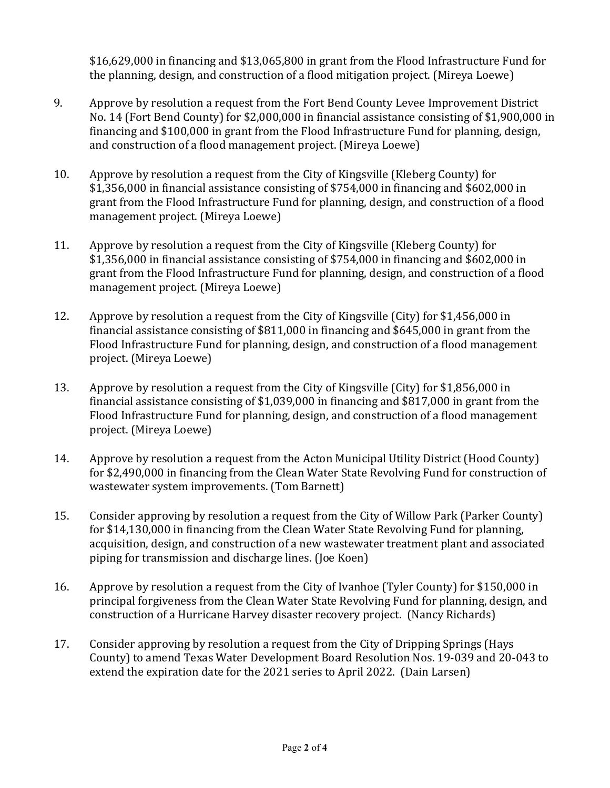\$16,629,000 in financing and \$13,065,800 in grant from the Flood Infrastructure Fund for the planning, design, and construction of a flood mitigation project. (Mireya Loewe)

- 9. Approve by resolution a request from the Fort Bend County Levee Improvement District No. 14 (Fort Bend County) for \$2,000,000 in financial assistance consisting of \$1,900,000 in financing and \$100,000 in grant from the Flood Infrastructure Fund for planning, design, and construction of a flood management project. (Mireya Loewe)
- 10. Approve by resolution a request from the City of Kingsville (Kleberg County) for \$1,356,000 in financial assistance consisting of \$754,000 in financing and \$602,000 in grant from the Flood Infrastructure Fund for planning, design, and construction of a flood management project. (Mireya Loewe)
- 11. Approve by resolution a request from the City of Kingsville (Kleberg County) for \$1,356,000 in financial assistance consisting of \$754,000 in financing and \$602,000 in grant from the Flood Infrastructure Fund for planning, design, and construction of a flood management project. (Mireya Loewe)
- 12. Approve by resolution a request from the City of Kingsville (City) for \$1,456,000 in financial assistance consisting of \$811,000 in financing and \$645,000 in grant from the Flood Infrastructure Fund for planning, design, and construction of a flood management project. (Mireya Loewe)
- 13. Approve by resolution a request from the City of Kingsville (City) for \$1,856,000 in financial assistance consisting of \$1,039,000 in financing and \$817,000 in grant from the Flood Infrastructure Fund for planning, design, and construction of a flood management project. (Mireya Loewe)
- 14. Approve by resolution a request from the Acton Municipal Utility District (Hood County) for \$2,490,000 in financing from the Clean Water State Revolving Fund for construction of wastewater system improvements. (Tom Barnett)
- 15. Consider approving by resolution a request from the City of Willow Park (Parker County) for \$14,130,000 in financing from the Clean Water State Revolving Fund for planning, acquisition, design, and construction of a new wastewater treatment plant and associated piping for transmission and discharge lines. (Joe Koen)
- 16. Approve by resolution a request from the City of Ivanhoe (Tyler County) for \$150,000 in principal forgiveness from the Clean Water State Revolving Fund for planning, design, and construction of a Hurricane Harvey disaster recovery project. (Nancy Richards)
- 17. Consider approving by resolution a request from the City of Dripping Springs (Hays County) to amend Texas Water Development Board Resolution Nos. 19-039 and 20-043 to extend the expiration date for the 2021 series to April 2022. (Dain Larsen)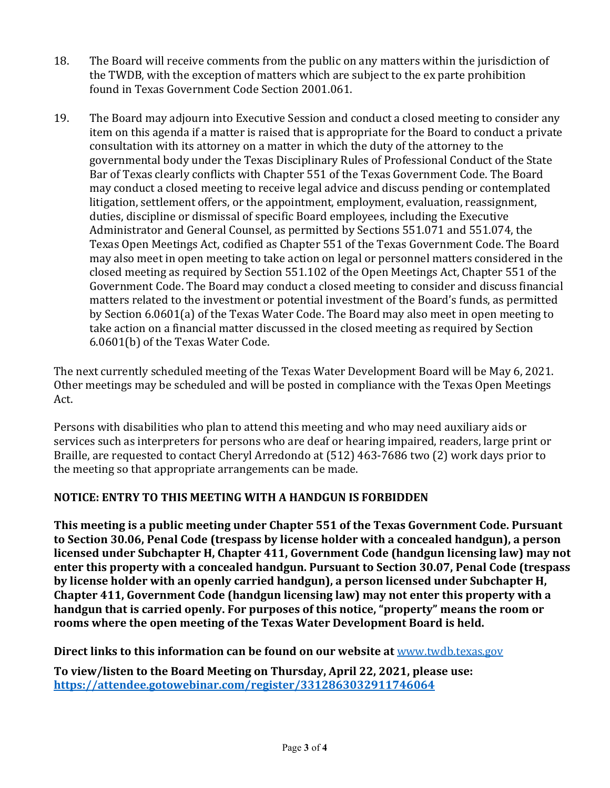- 18. The Board will receive comments from the public on any matters within the jurisdiction of the TWDB, with the exception of matters which are subject to the ex parte prohibition found in Texas Government Code Section 2001.061.
- 19. The Board may adjourn into Executive Session and conduct a closed meeting to consider any item on this agenda if a matter is raised that is appropriate for the Board to conduct a private consultation with its attorney on a matter in which the duty of the attorney to the governmental body under the Texas Disciplinary Rules of Professional Conduct of the State Bar of Texas clearly conflicts with Chapter 551 of the Texas Government Code. The Board may conduct a closed meeting to receive legal advice and discuss pending or contemplated litigation, settlement offers, or the appointment, employment, evaluation, reassignment, duties, discipline or dismissal of specific Board employees, including the Executive Administrator and General Counsel, as permitted by Sections 551.071 and 551.074, the Texas Open Meetings Act, codified as Chapter 551 of the Texas Government Code. The Board may also meet in open meeting to take action on legal or personnel matters considered in the closed meeting as required by Section 551.102 of the Open Meetings Act, Chapter 551 of the Government Code. The Board may conduct a closed meeting to consider and discuss financial matters related to the investment or potential investment of the Board's funds, as permitted by Section 6.0601(a) of the Texas Water Code. The Board may also meet in open meeting to take action on a financial matter discussed in the closed meeting as required by Section 6.0601(b) of the Texas Water Code.

The next currently scheduled meeting of the Texas Water Development Board will be May 6, 2021. Other meetings may be scheduled and will be posted in compliance with the Texas Open Meetings Act.

Persons with disabilities who plan to attend this meeting and who may need auxiliary aids or services such as interpreters for persons who are deaf or hearing impaired, readers, large print or Braille, are requested to contact Cheryl Arredondo at (512) 463-7686 two (2) work days prior to the meeting so that appropriate arrangements can be made.

## **NOTICE: ENTRY TO THIS MEETING WITH A HANDGUN IS FORBIDDEN**

**This meeting is a public meeting under Chapter 551 of the Texas Government Code. Pursuant to Section 30.06, Penal Code (trespass by license holder with a concealed handgun), a person licensed under Subchapter H, Chapter 411, Government Code (handgun licensing law) may not enter this property with a concealed handgun. Pursuant to Section 30.07, Penal Code (trespass by license holder with an openly carried handgun), a person licensed under Subchapter H, Chapter 411, Government Code (handgun licensing law) may not enter this property with a handgun that is carried openly. For purposes of this notice, "property" means the room or rooms where the open meeting of the Texas Water Development Board is held.** 

**Direct links to this information can be found on our website at** [www.twdb.texas.gov](http://www.twdb.texas.gov/)

**To view/listen to the Board Meeting on Thursday, April 22, 2021, please use: <https://attendee.gotowebinar.com/register/3312863032911746064>**